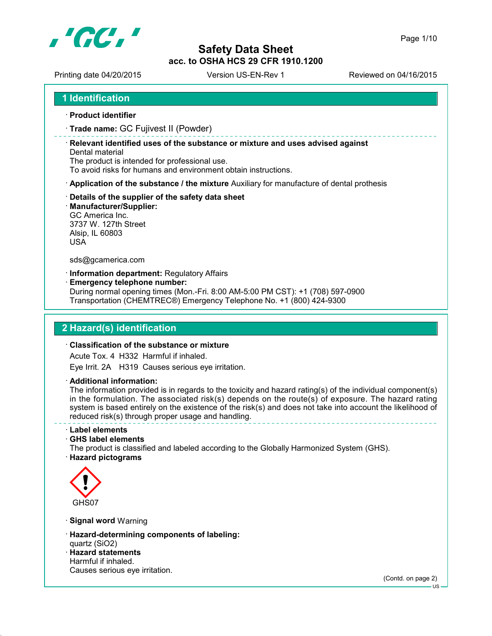

Printing date 04/20/2015 Version US-EN-Rev 1 Reviewed on 04/16/2015

**1 Identification**

- **Product identifier**
- **Trade name:** GC Fujivest II (Powder)

 **Relevant identified uses of the substance or mixture and uses advised against** Dental material

The product is intended for professional use.

To avoid risks for humans and environment obtain instructions.

- **Application of the substance / the mixture** Auxiliary for manufacture of dental prothesis
- **Details of the supplier of the safety data sheet**
- **Manufacturer/Supplier:**

GC America Inc. 3737 W. 127th Street Alsip, IL 60803 USA

sds@gcamerica.com

**Information department:** Regulatory Affairs

**Emergency telephone number:**

During normal opening times (Mon.-Fri. 8:00 AM-5:00 PM CST): +1 (708) 597-0900 Transportation (CHEMTREC®) Emergency Telephone No. +1 (800) 424-9300

## **2 Hazard(s) identification**

#### **Classification of the substance or mixture**

Acute Tox. 4 H332 Harmful if inhaled.

Eye Irrit. 2A H319 Causes serious eye irritation.

**Additional information:**

The information provided is in regards to the toxicity and hazard rating(s) of the individual component(s) in the formulation. The associated risk(s) depends on the route(s) of exposure. The hazard rating system is based entirely on the existence of the risk(s) and does not take into account the likelihood of reduced risk(s) through proper usage and handling.

**Label elements**

**GHS label elements**

The product is classified and labeled according to the Globally Harmonized System (GHS).

**Hazard pictograms**



- **Signal word** Warning
- **Hazard-determining components of labeling:** quartz (SiO2)
- **Hazard statements** Harmful if inhaled. Causes serious eye irritation.

(Contd. on page 2)

US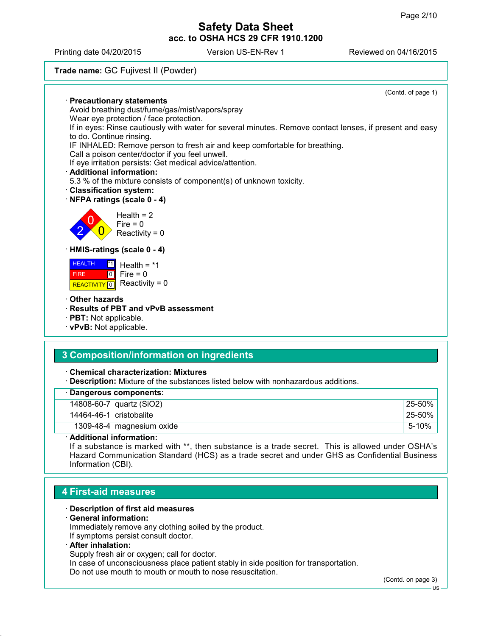Printing date 04/20/2015 Version US-EN-Rev 1 Reviewed on 04/16/2015

## **Trade name:** GC Fujivest II (Powder)

|                                                                                                                                     | (Contd. of page 1) |
|-------------------------------------------------------------------------------------------------------------------------------------|--------------------|
| · Precautionary statements                                                                                                          |                    |
| Avoid breathing dust/fume/gas/mist/vapors/spray                                                                                     |                    |
| Wear eye protection / face protection.                                                                                              |                    |
| If in eyes: Rinse cautiously with water for several minutes. Remove contact lenses, if present and easy<br>to do. Continue rinsing. |                    |
| IF INHALED: Remove person to fresh air and keep comfortable for breathing.                                                          |                    |
| Call a poison center/doctor if you feel unwell.                                                                                     |                    |
| If eye irritation persists: Get medical advice/attention.                                                                           |                    |
| · Additional information:                                                                                                           |                    |
| 5.3 % of the mixture consists of component(s) of unknown toxicity.                                                                  |                    |
| <b>Classification system:</b>                                                                                                       |                    |
| NFPA ratings (scale 0 - 4)                                                                                                          |                    |
| Health = $2$<br>Fire = $0$<br>Reactivity = $0$                                                                                      |                    |
| · HMIS-ratings (scale 0 - 4)                                                                                                        |                    |
| <b>HEALTH</b><br> *1 <br>Health = $*1$                                                                                              |                    |
| $\begin{bmatrix} 0 \\ 0 \end{bmatrix}$ Fire = 0<br><b>FIRE</b>                                                                      |                    |
| Reactivity = $0$<br><b>REACTIVITY</b>                                                                                               |                    |
| $\cdot$ Other hazards                                                                                                               |                    |
| · Results of PBT and vPvB assessment                                                                                                |                    |
| · <b>PBT:</b> Not applicable.                                                                                                       |                    |
| · vPvB: Not applicable.                                                                                                             |                    |
|                                                                                                                                     |                    |
|                                                                                                                                     |                    |

# **3 Composition/information on ingredients**

**Chemical characterization: Mixtures**

**Description:** Mixture of the substances listed below with nonhazardous additions.

|                             | · Dangerous components:                                                |              |
|-----------------------------|------------------------------------------------------------------------|--------------|
|                             | 14808-60-7 quartz (SiO2)                                               | $125 - 50\%$ |
| 14464-46-1 $ $ cristobalite |                                                                        | $125 - 50%$  |
|                             | 1309-48-4 magnesium oxide                                              | $5 - 10%$    |
|                             | $\blacksquare$ . It is if the second to the first second of the second |              |

**Additional information:**

If a substance is marked with \*\*, then substance is a trade secret. This is allowed under OSHA's Hazard Communication Standard (HCS) as a trade secret and under GHS as Confidential Business Information (CBI).

# **4 First-aid measures**

- **Description of first aid measures**
- **General information:**

Immediately remove any clothing soiled by the product. If symptoms persist consult doctor.

**After inhalation:**

Supply fresh air or oxygen; call for doctor.

In case of unconsciousness place patient stably in side position for transportation.

Do not use mouth to mouth or mouth to nose resuscitation.

(Contd. on page 3)

US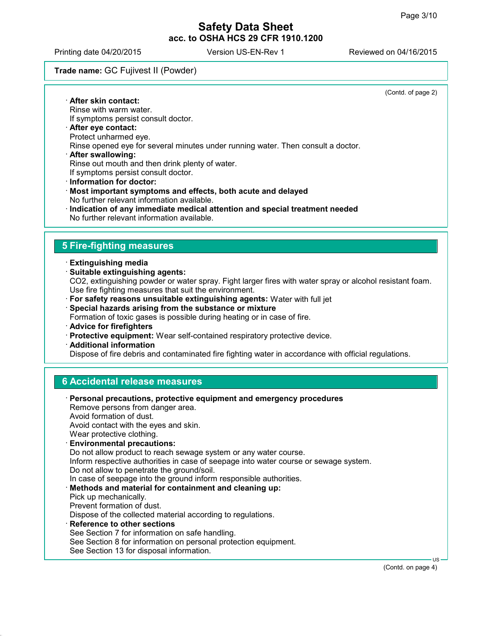(Contd. of page 2)

# **Safety Data Sheet acc. to OSHA HCS 29 CFR 1910.1200**

Printing date 04/20/2015 Version US-EN-Rev 1 Reviewed on 04/16/2015

#### **Trade name:** GC Fujivest II (Powder)

 **After skin contact:** Rinse with warm water. If symptoms persist consult doctor. **After eye contact:** Protect unharmed eye. Rinse opened eye for several minutes under running water. Then consult a doctor. **After swallowing:** Rinse out mouth and then drink plenty of water. If symptoms persist consult doctor. **Information for doctor: Most important symptoms and effects, both acute and delayed** No further relevant information available. **Indication of any immediate medical attention and special treatment needed** No further relevant information available. **5 Fire-fighting measures Extinguishing media Suitable extinguishing agents:** CO2, extinguishing powder or water spray. Fight larger fires with water spray or alcohol resistant foam. Use fire fighting measures that suit the environment. **For safety reasons unsuitable extinguishing agents:** Water with full jet **Special hazards arising from the substance or mixture** Formation of toxic gases is possible during heating or in case of fire. **Advice for firefighters Protective equipment:** Wear self-contained respiratory protective device. **Additional information** Dispose of fire debris and contaminated fire fighting water in accordance with official regulations. **6 Accidental release measures Personal precautions, protective equipment and emergency procedures** Remove persons from danger area. Avoid formation of dust. Avoid contact with the eyes and skin. Wear protective clothing. **Environmental precautions:** Do not allow product to reach sewage system or any water course. Inform respective authorities in case of seepage into water course or sewage system. Do not allow to penetrate the ground/soil. In case of seepage into the ground inform responsible authorities. **Methods and material for containment and cleaning up:** Pick up mechanically. Prevent formation of dust. Dispose of the collected material according to regulations. **Reference to other sections** See Section 7 for information on safe handling. See Section 8 for information on personal protection equipment. See Section 13 for disposal information. US (Contd. on page 4)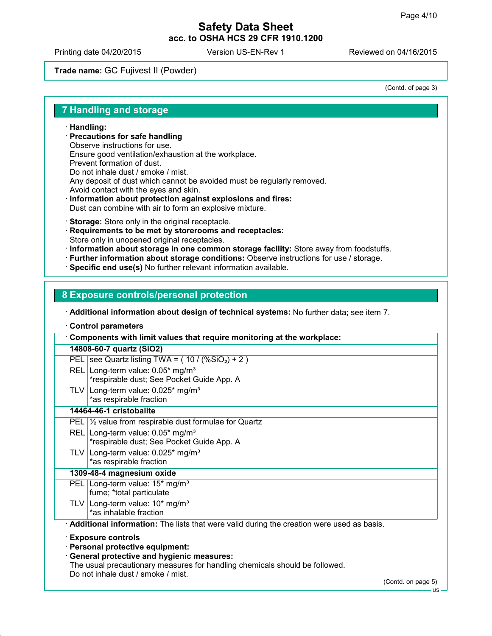Printing date 04/20/2015 <br>
Version US-EN-Rev 1 Reviewed on 04/16/2015

## **Trade name:** GC Fujivest II (Powder)

(Contd. of page 3)

#### **7 Handling and storage**

#### **Handling:**

- **Precautions for safe handling** Observe instructions for use. Ensure good ventilation/exhaustion at the workplace. Prevent formation of dust. Do not inhale dust / smoke / mist. Any deposit of dust which cannot be avoided must be regularly removed. Avoid contact with the eyes and skin.
- **Information about protection against explosions and fires:** Dust can combine with air to form an explosive mixture.
- **Storage:** Store only in the original receptacle.
- **Requirements to be met by storerooms and receptacles:** Store only in unopened original receptacles.
- **Information about storage in one common storage facility:** Store away from foodstuffs.
- **Further information about storage conditions:** Observe instructions for use / storage.
- **Specific end use(s)** No further relevant information available.

#### **8 Exposure controls/personal protection**

**Additional information about design of technical systems:** No further data; see item 7.

**Control parameters**

| Components with limit values that require monitoring at the workplace:                                            |
|-------------------------------------------------------------------------------------------------------------------|
| 14808-60-7 quartz (SiO2)                                                                                          |
| PEL   see Quartz listing TWA = $(10 / (\% \text{SiO}_2) + 2)$                                                     |
| REL Long-term value: 0.05* mg/m <sup>3</sup><br>*respirable dust; See Pocket Guide App. A                         |
| TLV Long-term value: $0.025$ * mg/m <sup>3</sup><br>*as respirable fraction                                       |
| 14464-46-1 cristobalite                                                                                           |
| PEL $\frac{1}{2}$ value from respirable dust formulae for Quartz                                                  |
| REL Long-term value: $0.05*$ mg/m <sup>3</sup><br>*respirable dust; See Pocket Guide App. A                       |
| TLV Long-term value: $0.025$ * mg/m <sup>3</sup><br>*as respirable fraction                                       |
| 1309-48-4 magnesium oxide                                                                                         |
| PEL Long-term value: 15* mg/m <sup>3</sup><br>fume; *total particulate                                            |
| TLV Long-term value: $10*$ mg/m <sup>3</sup><br>*as inhalable fraction                                            |
| <b>Additional information:</b> The lists that were valid during the creation were used as basis.                  |
| <b>Exposure controls</b>                                                                                          |
| · Personal protective equipment:                                                                                  |
| <b>General protective and hygienic measures:</b>                                                                  |
| The usual precautionary measures for handling chemicals should be followed.<br>Do not inhale dust / smoke / mist. |

(Contd. on page 5)

US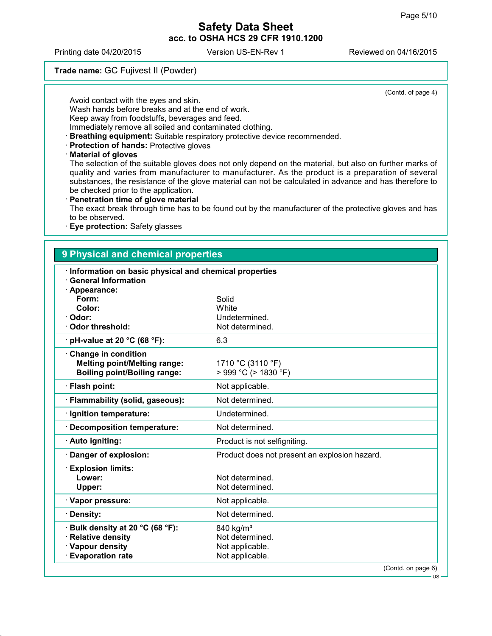Printing date 04/20/2015 Version US-EN-Rev 1 Reviewed on 04/16/2015

## **Trade name:** GC Fujivest II (Powder)

(Contd. of page 4)

Avoid contact with the eyes and skin.

Wash hands before breaks and at the end of work.

Keep away from foodstuffs, beverages and feed.

Immediately remove all soiled and contaminated clothing.

**Breathing equipment:** Suitable respiratory protective device recommended.

**Protection of hands:** Protective gloves

**Material of gloves**

The selection of the suitable gloves does not only depend on the material, but also on further marks of quality and varies from manufacturer to manufacturer. As the product is a preparation of several substances, the resistance of the glove material can not be calculated in advance and has therefore to be checked prior to the application.

**Penetration time of glove material**

The exact break through time has to be found out by the manufacturer of the protective gloves and has to be observed.

**Eye protection:** Safety glasses

## **9 Physical and chemical properties**

| Information on basic physical and chemical properties<br><b>General Information</b>                   |                                                                                |
|-------------------------------------------------------------------------------------------------------|--------------------------------------------------------------------------------|
| · Appearance:<br>Form:<br>Color:<br>Odor:                                                             | Solid<br>White<br>Undetermined.                                                |
| <b>Odor threshold:</b>                                                                                | Not determined.                                                                |
| $\cdot$ pH-value at 20 °C (68 °F):                                                                    | 6.3                                                                            |
| Change in condition<br><b>Melting point/Melting range:</b><br><b>Boiling point/Boiling range:</b>     | 1710 °C (3110 °F)<br>$>$ 999 °C ( $>$ 1830 °F)                                 |
| · Flash point:                                                                                        | Not applicable.                                                                |
| · Flammability (solid, gaseous):                                                                      | Not determined.                                                                |
| · Ignition temperature:                                                                               | Undetermined.                                                                  |
| · Decomposition temperature:                                                                          | Not determined.                                                                |
| · Auto igniting:                                                                                      | Product is not selfigniting.                                                   |
| · Danger of explosion:                                                                                | Product does not present an explosion hazard.                                  |
| <b>Explosion limits:</b><br>Lower:<br>Upper:                                                          | Not determined.<br>Not determined.                                             |
| · Vapor pressure:                                                                                     | Not applicable.                                                                |
| · Density:                                                                                            | Not determined.                                                                |
| ⋅ Bulk density at 20 °C (68 °F):<br>· Relative density<br>· Vapour density<br><b>Evaporation rate</b> | 840 kg/m <sup>3</sup><br>Not determined.<br>Not applicable.<br>Not applicable. |
|                                                                                                       | (Contd. on page 6)                                                             |

US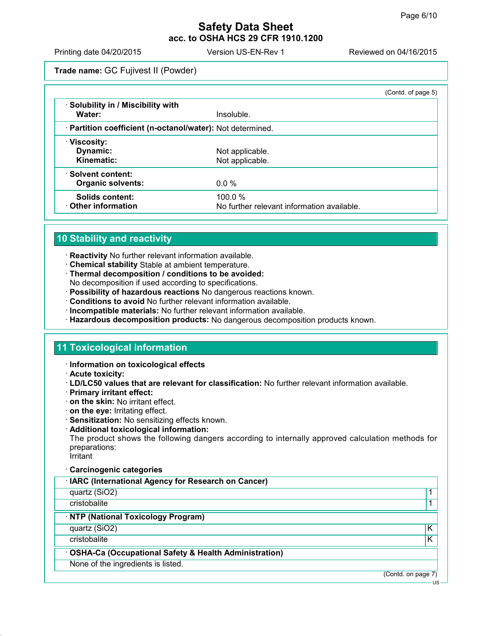Printing date 04/20/2015 Version US-EN-Rev 1 Reviewed on 04/16/2015

**Trade name:** GC Fujivest II (Powder)

|                                                            |                                                         | (Contd. of page 5) |
|------------------------------------------------------------|---------------------------------------------------------|--------------------|
| · Solubility in / Miscibility with<br>Water:               | Insoluble.                                              |                    |
| · Partition coefficient (n-octanol/water): Not determined. |                                                         |                    |
| ∴ Viscosity:<br>Dynamic:<br>Kinematic:                     | Not applicable.<br>Not applicable.                      |                    |
| · Solvent content:<br><b>Organic solvents:</b>             | $0.0\%$                                                 |                    |
| Solids content:<br>Other information                       | 100.0 $%$<br>No further relevant information available. |                    |

# **10 Stability and reactivity**

- **Reactivity** No further relevant information available.
- **Chemical stability** Stable at ambient temperature.
- **Thermal decomposition / conditions to be avoided:** No decomposition if used according to specifications.
- **Possibility of hazardous reactions** No dangerous reactions known.
- **Conditions to avoid** No further relevant information available.
- **Incompatible materials:** No further relevant information available.
- **Hazardous decomposition products:** No dangerous decomposition products known.

# **11 Toxicological information**

- **Information on toxicological effects**
- **Acute toxicity:**
- **LD/LC50 values that are relevant for classification:** No further relevant information available.
- **Primary irritant effect:**
- **on the skin:** No irritant effect.
- **on the eye:** Irritating effect.
- **Sensitization:** No sensitizing effects known.
- **Additional toxicological information:**

The product shows the following dangers according to internally approved calculation methods for preparations:

Irritant

#### **Carcinogenic categories**

| · IARC (International Agency for Research on Cancer) |  |  |  |
|------------------------------------------------------|--|--|--|
|------------------------------------------------------|--|--|--|

quartz (SiO2) 2012 1 2022 1 2022 1 2022 1 2022 1 2022 1 2022 1 2022 1 2022 1 2022 1 2022 1 2022 1 2022 1 2022 1 2022 1 2022 1 2022 1 2022 1 2022 1 2022 1 2022 1 2022 1 2022 1 2022 1 2022 1 2022 1 2022 1 2022 1 2022 1 2022

cristobalite the control of the control of the control of the control of the control of the control of the control of the control of the control of the control of the control of the control of the control of the control of

#### **NTP (National Toxicology Program)**

quartz (SiO2) K

cristobalite **K** 

#### **OSHA-Ca (Occupational Safety & Health Administration)**

None of the ingredients is listed.

(Contd. on page 7)

US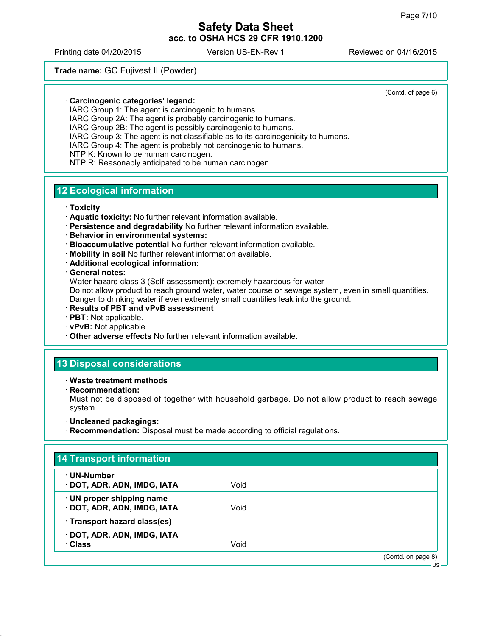(Contd. of page 6)

# **Safety Data Sheet acc. to OSHA HCS 29 CFR 1910.1200**

Printing date 04/20/2015 Version US-EN-Rev 1 Reviewed on 04/16/2015

## **Trade name:** GC Fujivest II (Powder)

**Carcinogenic categories' legend:**

IARC Group 1: The agent is carcinogenic to humans.

IARC Group 2A: The agent is probably carcinogenic to humans.

IARC Group 2B: The agent is possibly carcinogenic to humans.

IARC Group 3: The agent is not classifiable as to its carcinogenicity to humans.

IARC Group 4: The agent is probably not carcinogenic to humans.

NTP K: Known to be human carcinogen.

NTP R: Reasonably anticipated to be human carcinogen.

## **12 Ecological information**

**Toxicity**

- **Aquatic toxicity:** No further relevant information available.
- **Persistence and degradability** No further relevant information available.
- **Behavior in environmental systems:**
- **Bioaccumulative potential** No further relevant information available.
- **Mobility in soil** No further relevant information available.
- **Additional ecological information:**
- **General notes:**

Water hazard class 3 (Self-assessment): extremely hazardous for water

Do not allow product to reach ground water, water course or sewage system, even in small quantities. Danger to drinking water if even extremely small quantities leak into the ground.

- **Results of PBT and vPvB assessment**
- **PBT:** Not applicable.
- **vPvB:** Not applicable.
- **Other adverse effects** No further relevant information available.

## **13 Disposal considerations**

**Waste treatment methods**

**Recommendation:**

Must not be disposed of together with household garbage. Do not allow product to reach sewage system.

#### **Uncleaned packagings:**

**Recommendation:** Disposal must be made according to official regulations.

| ⋅ UN-Number                  |      |  |
|------------------------------|------|--|
| · DOT, ADR, ADN, IMDG, IATA  | Void |  |
| · UN proper shipping name    |      |  |
| DOT, ADR, ADN, IMDG, IATA    | Void |  |
| · Transport hazard class(es) |      |  |
| DOT, ADR, ADN, IMDG, IATA    |      |  |
| · Class                      | Void |  |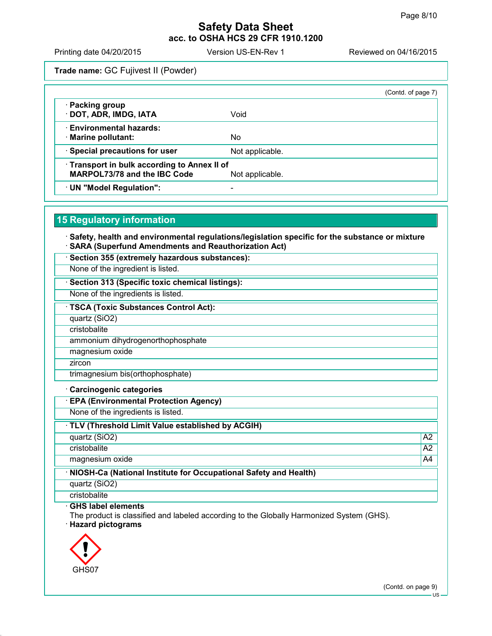Printing date 04/20/2015 Version US-EN-Rev 1 Reviewed on 04/16/2015

**Trade name:** GC Fujivest II (Powder)

|                                                                                     |                 | (Contd. of page 7) |
|-------------------------------------------------------------------------------------|-----------------|--------------------|
| · Packing group<br>· DOT, ADR, IMDG, IATA                                           | Void            |                    |
| · Environmental hazards:<br>· Marine pollutant:                                     | No              |                    |
| · Special precautions for user                                                      | Not applicable. |                    |
| · Transport in bulk according to Annex II of<br><b>MARPOL73/78 and the IBC Code</b> | Not applicable. |                    |
| · UN "Model Regulation":                                                            |                 |                    |

## **15 Regulatory information**

 **Safety, health and environmental regulations/legislation specific for the substance or mixture SARA (Superfund Amendments and Reauthorization Act)**

**Section 355 (extremely hazardous substances):**

None of the ingredient is listed.

**Section 313 (Specific toxic chemical listings):**

None of the ingredients is listed.

**TSCA (Toxic Substances Control Act):**

quartz (SiO2)

cristobalite

ammonium dihydrogenorthophosphate

magnesium oxide

**zircon** 

trimagnesium bis(orthophosphate)

#### **Carcinogenic categories**

**EPA (Environmental Protection Agency)**

None of the ingredients is listed.

**TLV (Threshold Limit Value established by ACGIH)**

quartz (SiO2) and a set of the set of the set of the set of the set of the set of the set of the set of the set of the set of the set of the set of the set of the set of the set of the set of the set of the set of the set

cristobalite A2

magnesium oxide A4

**NIOSH-Ca (National Institute for Occupational Safety and Health)**

quartz (SiO2)

**cristobalite** 

**GHS label elements**

The product is classified and labeled according to the Globally Harmonized System (GHS).

**Hazard pictograms**



(Contd. on page 9)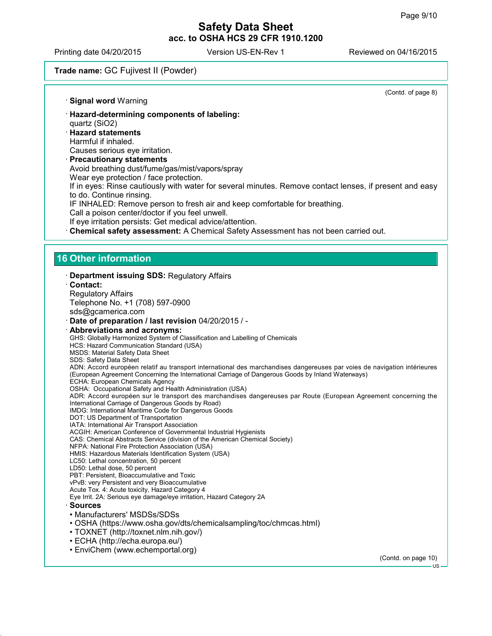Printing date 04/20/2015 Version US-EN-Rev 1 Reviewed on 04/16/2015

**Signal word** Warning

## **Trade name:** GC Fujivest II (Powder)

(Contd. of page 8)

- **Hazard-determining components of labeling:** quartz (SiO2) **Hazard statements** Harmful if inhaled. Causes serious eye irritation.
- **Precautionary statements** Avoid breathing dust/fume/gas/mist/vapors/spray Wear eye protection / face protection. If in eyes: Rinse cautiously with water for several minutes. Remove contact lenses, if present and easy to do. Continue rinsing. IF INHALED: Remove person to fresh air and keep comfortable for breathing. Call a poison center/doctor if you feel unwell. If eye irritation persists: Get medical advice/attention. **Chemical safety assessment:** A Chemical Safety Assessment has not been carried out.

# **16 Other information**

| Department issuing SDS: Regulatory Affairs                                                                                                                                                                                    |                     |
|-------------------------------------------------------------------------------------------------------------------------------------------------------------------------------------------------------------------------------|---------------------|
| $\cdot$ Contact:                                                                                                                                                                                                              |                     |
| <b>Regulatory Affairs</b>                                                                                                                                                                                                     |                     |
| Telephone No. +1 (708) 597-0900                                                                                                                                                                                               |                     |
| sds@gcamerica.com                                                                                                                                                                                                             |                     |
| Date of preparation / last revision 04/20/2015 / -                                                                                                                                                                            |                     |
| · Abbreviations and acronyms:                                                                                                                                                                                                 |                     |
| GHS: Globally Harmonized System of Classification and Labelling of Chemicals                                                                                                                                                  |                     |
| HCS: Hazard Communication Standard (USA)                                                                                                                                                                                      |                     |
| <b>MSDS: Material Safety Data Sheet</b>                                                                                                                                                                                       |                     |
| SDS: Safety Data Sheet                                                                                                                                                                                                        |                     |
| ADN: Accord européen relatif au transport international des marchandises dangereuses par voies de navigation intérieures<br>(European Agreement Concerning the International Carriage of Dangerous Goods by Inland Waterways) |                     |
| ECHA: European Chemicals Agency                                                                                                                                                                                               |                     |
| OSHA: Occupational Safety and Health Administration (USA)                                                                                                                                                                     |                     |
| ADR: Accord européen sur le transport des marchandises dangereuses par Route (European Agreement concerning the                                                                                                               |                     |
| International Carriage of Dangerous Goods by Road)                                                                                                                                                                            |                     |
| IMDG: International Maritime Code for Dangerous Goods                                                                                                                                                                         |                     |
| DOT: US Department of Transportation<br>IATA: International Air Transport Association                                                                                                                                         |                     |
| ACGIH: American Conference of Governmental Industrial Hygienists                                                                                                                                                              |                     |
| CAS: Chemical Abstracts Service (division of the American Chemical Society)                                                                                                                                                   |                     |
| NFPA: National Fire Protection Association (USA)                                                                                                                                                                              |                     |
| HMIS: Hazardous Materials Identification System (USA)                                                                                                                                                                         |                     |
| LC50: Lethal concentration, 50 percent                                                                                                                                                                                        |                     |
| LD50: Lethal dose, 50 percent                                                                                                                                                                                                 |                     |
| PBT: Persistent, Bioaccumulative and Toxic                                                                                                                                                                                    |                     |
| vPvB: very Persistent and very Bioaccumulative                                                                                                                                                                                |                     |
| Acute Tox. 4: Acute toxicity, Hazard Category 4                                                                                                                                                                               |                     |
| Eye Irrit. 2A: Serious eye damage/eye irritation, Hazard Category 2A                                                                                                                                                          |                     |
| · Sources                                                                                                                                                                                                                     |                     |
| • Manufacturers' MSDSs/SDSs                                                                                                                                                                                                   |                     |
| • OSHA (https://www.osha.gov/dts/chemicalsampling/toc/chmcas.html)                                                                                                                                                            |                     |
| • TOXNET (http://toxnet.nlm.nih.gov/)                                                                                                                                                                                         |                     |
| • ECHA (http://echa.europa.eu/)                                                                                                                                                                                               |                     |
| • EnviChem (www.echemportal.org)                                                                                                                                                                                              |                     |
|                                                                                                                                                                                                                               | (Contd. on page 10) |